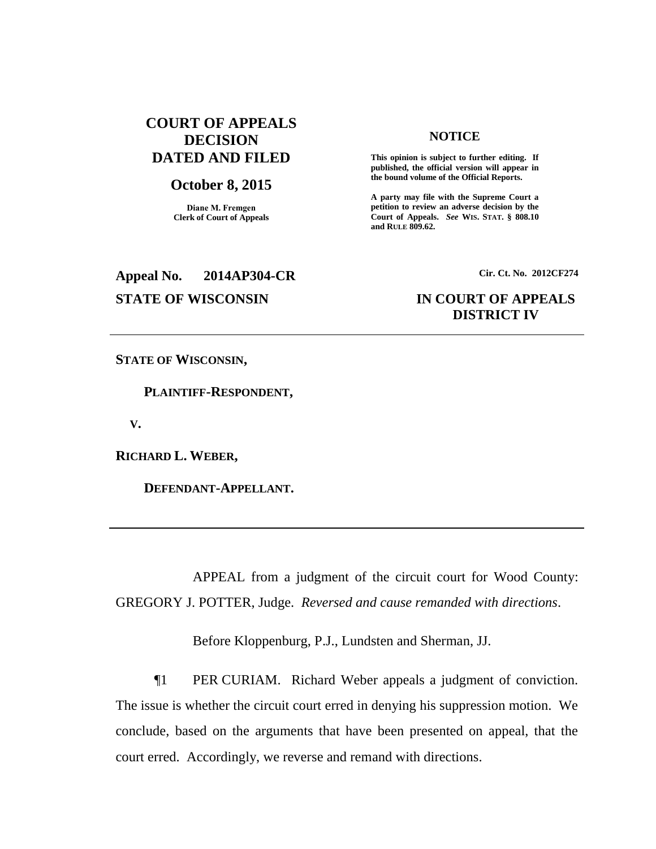# **COURT OF APPEALS DECISION DATED AND FILED**

## **October 8, 2015**

**Diane M. Fremgen Clerk of Court of Appeals**

## **NOTICE**

**This opinion is subject to further editing. If published, the official version will appear in the bound volume of the Official Reports.** 

**A party may file with the Supreme Court a petition to review an adverse decision by the Court of Appeals.** *See* **WIS. STAT. § 808.10 and RULE 809.62.** 

# **Appeal No. 2014AP304-CR Cir. Ct. No. 2012CF274 STATE OF WISCONSIN IN COURT OF APPEALS**

# **DISTRICT IV**

**STATE OF WISCONSIN,**

 **PLAINTIFF-RESPONDENT,**

 **V.**

**RICHARD L. WEBER,**

 **DEFENDANT-APPELLANT.**

APPEAL from a judgment of the circuit court for Wood County: GREGORY J. POTTER, Judge. *Reversed and cause remanded with directions*.

Before Kloppenburg, P.J., Lundsten and Sherman, JJ.

¶1 PER CURIAM. Richard Weber appeals a judgment of conviction. The issue is whether the circuit court erred in denying his suppression motion. We conclude, based on the arguments that have been presented on appeal, that the court erred. Accordingly, we reverse and remand with directions.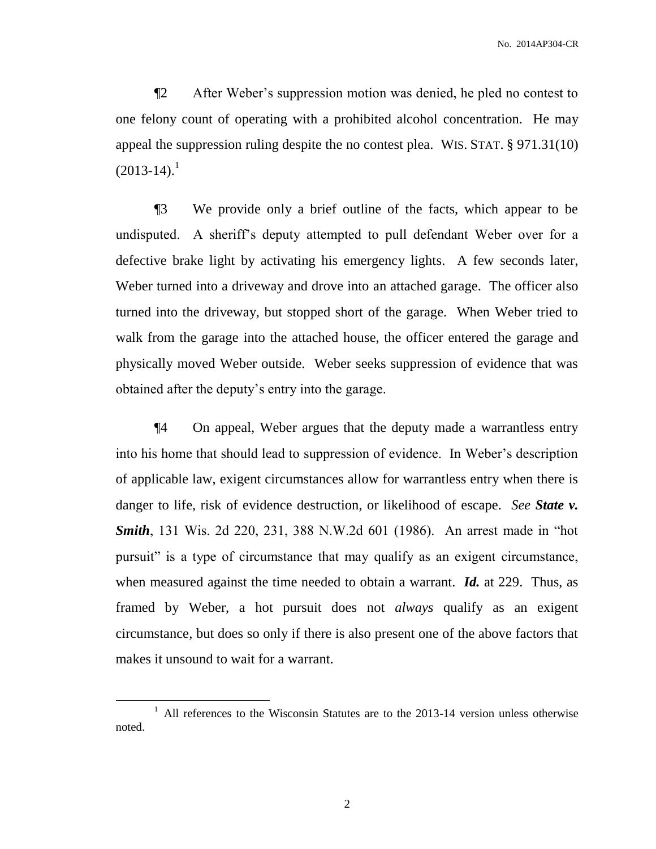¶2 After Weber's suppression motion was denied, he pled no contest to one felony count of operating with a prohibited alcohol concentration. He may appeal the suppression ruling despite the no contest plea. WIS. STAT. § 971.31(10)  $(2013-14).$ <sup>1</sup>

¶3 We provide only a brief outline of the facts, which appear to be undisputed. A sheriff's deputy attempted to pull defendant Weber over for a defective brake light by activating his emergency lights. A few seconds later, Weber turned into a driveway and drove into an attached garage. The officer also turned into the driveway, but stopped short of the garage. When Weber tried to walk from the garage into the attached house, the officer entered the garage and physically moved Weber outside. Weber seeks suppression of evidence that was obtained after the deputy's entry into the garage.

¶4 On appeal, Weber argues that the deputy made a warrantless entry into his home that should lead to suppression of evidence. In Weber's description of applicable law, exigent circumstances allow for warrantless entry when there is danger to life, risk of evidence destruction, or likelihood of escape. *See State v. Smith*, 131 Wis. 2d 220, 231, 388 N.W.2d 601 (1986). An arrest made in "hot pursuit" is a type of circumstance that may qualify as an exigent circumstance, when measured against the time needed to obtain a warrant. *Id.* at 229. Thus, as framed by Weber, a hot pursuit does not *always* qualify as an exigent circumstance, but does so only if there is also present one of the above factors that makes it unsound to wait for a warrant.

 $\overline{a}$ 

2

<sup>&</sup>lt;sup>1</sup> All references to the Wisconsin Statutes are to the 2013-14 version unless otherwise noted.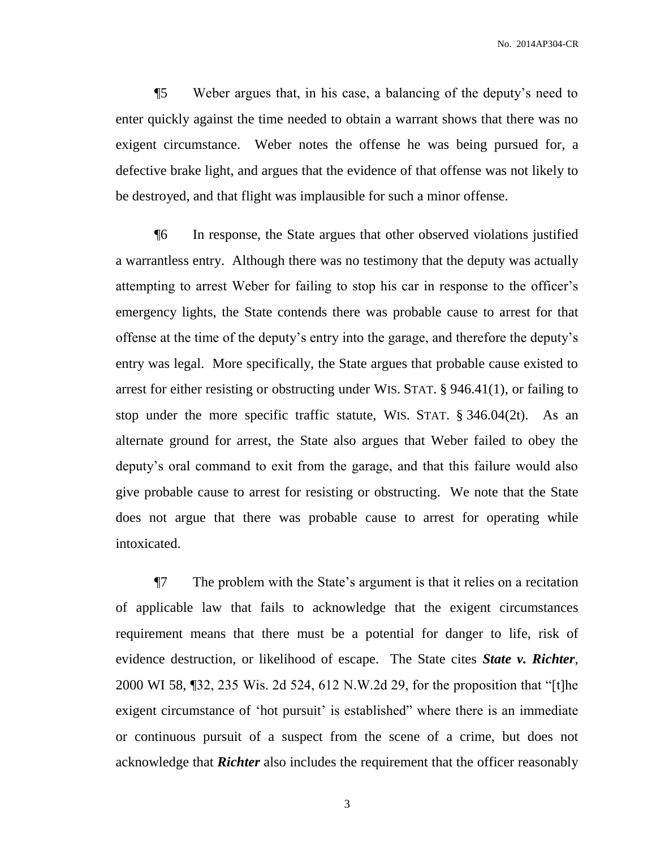No. 2014AP304-CR

¶5 Weber argues that, in his case, a balancing of the deputy's need to enter quickly against the time needed to obtain a warrant shows that there was no exigent circumstance. Weber notes the offense he was being pursued for, a defective brake light, and argues that the evidence of that offense was not likely to be destroyed, and that flight was implausible for such a minor offense.

¶6 In response, the State argues that other observed violations justified a warrantless entry. Although there was no testimony that the deputy was actually attempting to arrest Weber for failing to stop his car in response to the officer's emergency lights, the State contends there was probable cause to arrest for that offense at the time of the deputy's entry into the garage, and therefore the deputy's entry was legal. More specifically, the State argues that probable cause existed to arrest for either resisting or obstructing under WIS. STAT. § 946.41(1), or failing to stop under the more specific traffic statute, WIS. STAT. § 346.04(2t). As an alternate ground for arrest, the State also argues that Weber failed to obey the deputy's oral command to exit from the garage, and that this failure would also give probable cause to arrest for resisting or obstructing. We note that the State does not argue that there was probable cause to arrest for operating while intoxicated.

¶7 The problem with the State's argument is that it relies on a recitation of applicable law that fails to acknowledge that the exigent circumstances requirement means that there must be a potential for danger to life, risk of evidence destruction, or likelihood of escape. The State cites *State v. Richter*, 2000 WI 58, ¶32, 235 Wis. 2d 524, 612 N.W.2d 29, for the proposition that "[t]he exigent circumstance of 'hot pursuit' is established" where there is an immediate or continuous pursuit of a suspect from the scene of a crime, but does not acknowledge that *Richter* also includes the requirement that the officer reasonably

3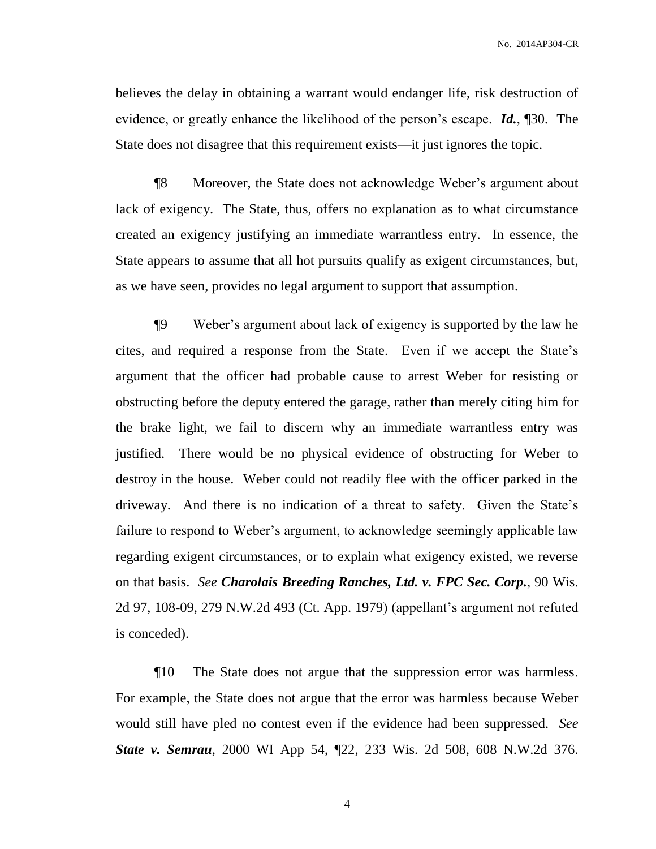believes the delay in obtaining a warrant would endanger life, risk destruction of evidence, or greatly enhance the likelihood of the person's escape. *Id.*, ¶30. The State does not disagree that this requirement exists—it just ignores the topic.

¶8 Moreover, the State does not acknowledge Weber's argument about lack of exigency. The State, thus, offers no explanation as to what circumstance created an exigency justifying an immediate warrantless entry. In essence, the State appears to assume that all hot pursuits qualify as exigent circumstances, but, as we have seen, provides no legal argument to support that assumption.

¶9 Weber's argument about lack of exigency is supported by the law he cites, and required a response from the State. Even if we accept the State's argument that the officer had probable cause to arrest Weber for resisting or obstructing before the deputy entered the garage, rather than merely citing him for the brake light, we fail to discern why an immediate warrantless entry was justified. There would be no physical evidence of obstructing for Weber to destroy in the house. Weber could not readily flee with the officer parked in the driveway. And there is no indication of a threat to safety. Given the State's failure to respond to Weber's argument, to acknowledge seemingly applicable law regarding exigent circumstances, or to explain what exigency existed, we reverse on that basis. *See Charolais Breeding Ranches, Ltd. v. FPC Sec. Corp.*, 90 Wis. 2d 97, 108-09, 279 N.W.2d 493 (Ct. App. 1979) (appellant's argument not refuted is conceded).

¶10 The State does not argue that the suppression error was harmless. For example, the State does not argue that the error was harmless because Weber would still have pled no contest even if the evidence had been suppressed. *See State v. Semrau*, 2000 WI App 54, ¶22, 233 Wis. 2d 508, 608 N.W.2d 376.

4